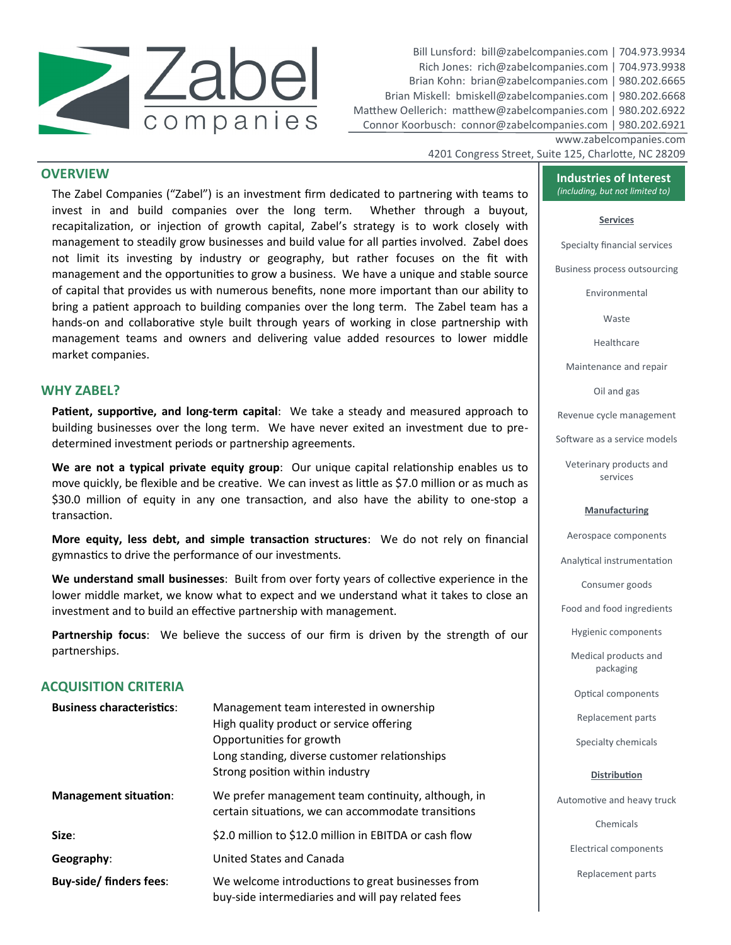

Bill Lunsford: bill@zabelcompanies.com | 704.973.9934 Rich Jones: rich@zabelcompanies.com | 704.973.9938 Brian Kohn: brian@zabelcompanies.com | 980.202.6665 Brian Miskell: bmiskell@zabelcompanies.com | 980.202.6668 Matthew Oellerich: matthew@zabelcompanies.com | 980.202.6922 Connor Koorbusch: connor@zabelcompanies.com | 980.202.6921

www.zabelcompanies.com

## 4201 Congress Street, Suite 125, Charlotte, NC 28209

# **OVERVIEW**

The Zabel Companies ("Zabel") is an investment firm dedicated to partnering with teams to invest in and build companies over the long term. Whether through a buyout, recapitalization, or injection of growth capital, Zabel's strategy is to work closely with management to steadily grow businesses and build value for all parties involved. Zabel does not limit its investing by industry or geography, but rather focuses on the fit with management and the opportunities to grow a business. We have a unique and stable source of capital that provides us with numerous benefits, none more important than our ability to bring a patient approach to building companies over the long term. The Zabel team has a hands-on and collaborative style built through years of working in close partnership with management teams and owners and delivering value added resources to lower middle market companies.

## **WHY ZABEL?**

**Patient, supportive, and long-term capital**: We take a steady and measured approach to building businesses over the long term. We have never exited an investment due to predetermined investment periods or partnership agreements.

**We are not a typical private equity group**: Our unique capital relationship enables us to move quickly, be flexible and be creative. We can invest as little as \$7.0 million or as much as \$30.0 million of equity in any one transaction, and also have the ability to one-stop a transaction.

**More equity, less debt, and simple transaction structures**: We do not rely on financial gymnastics to drive the performance of our investments.

**We understand small businesses**: Built from over forty years of collective experience in the lower middle market, we know what to expect and we understand what it takes to close an investment and to build an effective partnership with management.

**Partnership focus**: We believe the success of our firm is driven by the strength of our partnerships.

# **ACQUISITION CRITERIA**

| <b>Business characteristics:</b> | Management team interested in ownership<br>High quality product or service offering<br>Opportunities for growth<br>Long standing, diverse customer relationships<br>Strong position within industry | Replacement parts<br>Specialty chemicals<br><b>Distribution</b> |
|----------------------------------|-----------------------------------------------------------------------------------------------------------------------------------------------------------------------------------------------------|-----------------------------------------------------------------|
| <b>Management situation:</b>     | We prefer management team continuity, although, in<br>certain situations, we can accommodate transitions                                                                                            | Automotive and heavy tr                                         |
| Size:<br>Geography:              | \$2.0 million to \$12.0 million in EBITDA or cash flow<br>United States and Canada                                                                                                                  | Chemicals<br>Electrical component:                              |
| <b>Buy-side/finders fees:</b>    | We welcome introductions to great businesses from<br>buy-side intermediaries and will pay related fees                                                                                              | Replacement parts                                               |

**Industries of Interest** *(including, but not limited to)*

#### **Services**

Specialty financial services

Business process outsourcing

Environmental

Waste

Healthcare

Maintenance and repair

Oil and gas

Revenue cycle management

Software as a service models

Veterinary products and services

#### **Manufacturing**

Aerospace components

Analytical instrumentation

Consumer goods

Food and food ingredients

Hygienic components

Medical products and packaging

Optical components

ruck